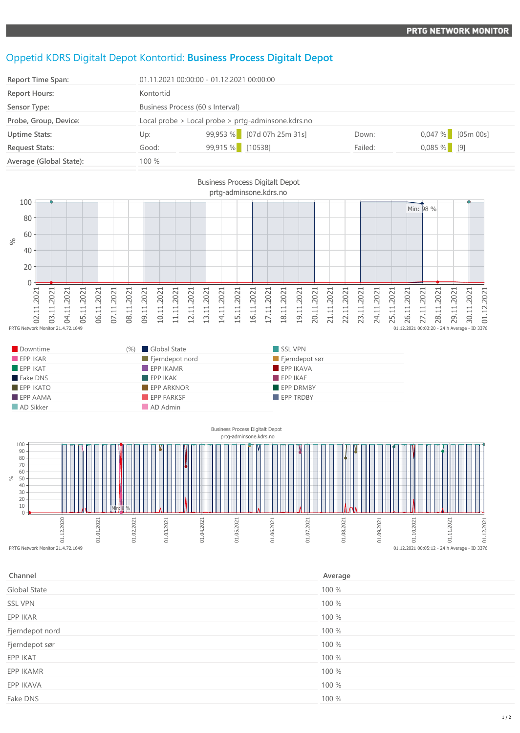## Oppetid KDRS Digitalt Depot Kontortid: **Business Process Digitalt Depot**

**EPP IKATO EPP ARKNOR EPP ARKNOR EPP OR EPP DRMBY EPP AAMA EPP FARKSF** EPP FARKSF **EPP TRDBY** 

**AD Sikker AD Admin** 

| Report Time Span:       | 01.11.2021 00:00:00 - 01.12.2021 00:00:00          |                            |         |                     |
|-------------------------|----------------------------------------------------|----------------------------|---------|---------------------|
| <b>Report Hours:</b>    | Kontortid                                          |                            |         |                     |
| Sensor Type:            | Business Process (60 s Interval)                   |                            |         |                     |
| Probe, Group, Device:   | Local probe > Local probe > prtg-adminsone.kdrs.no |                            |         |                     |
| <b>Uptime Stats:</b>    | Up:                                                | 99,953 % [07d 07h 25m 31s] | Down:   | $0,047\%$ [05m 00s] |
| <b>Request Stats:</b>   | Good:                                              | 99,915 % [10538]           | Failed: | $0,085\%$ [9]       |
| Average (Global State): | 100 %                                              |                            |         |                     |





| Channel         | Average |
|-----------------|---------|
| Global State    | 100 %   |
| <b>SSL VPN</b>  | 100 %   |
| EPP IKAR        | 100 %   |
| Fjerndepot nord | 100 %   |
| Fjerndepot sør  | 100 %   |
| EPP IKAT        | 100 %   |
| EPP IKAMR       | 100 %   |
| EPP IKAVA       | 100 %   |
| Fake DNS        | 100 %   |
|                 |         |